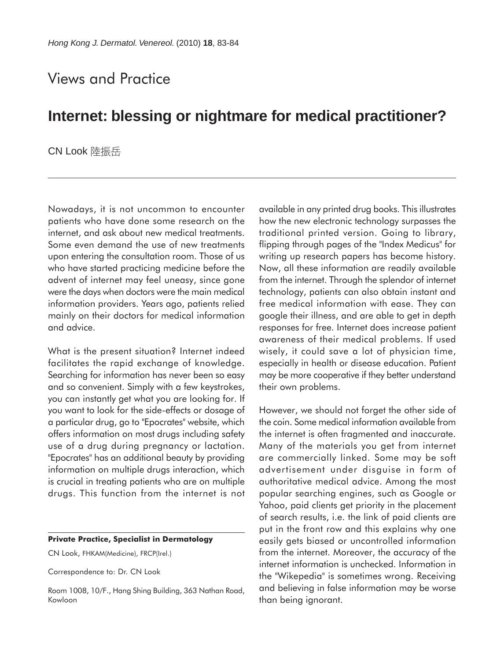## Views and Practice

## **Internet: blessing or nightmare for medical practitioner?**

CN Look 陸振岳

Nowadays, it is not uncommon to encounter patients who have done some research on the internet, and ask about new medical treatments. Some even demand the use of new treatments upon entering the consultation room. Those of us who have started practicing medicine before the advent of internet may feel uneasy, since gone were the days when doctors were the main medical information providers. Years ago, patients relied mainly on their doctors for medical information and advice.

What is the present situation? Internet indeed facilitates the rapid exchange of knowledge. Searching for information has never been so easy and so convenient. Simply with a few keystrokes, you can instantly get what you are looking for. If you want to look for the side-effects or dosage of a particular drug, go to "Epocrates" website, which offers information on most drugs including safety use of a drug during pregnancy or lactation. "Epocrates" has an additional beauty by providing information on multiple drugs interaction, which is crucial in treating patients who are on multiple drugs. This function from the internet is not

## **Private Practice, Specialist in Dermatology**

CN Look, FHKAM(Medicine), FRCP(Irel.)

Correspondence to: Dr. CN Look

Room 1008, 10/F., Hang Shing Building, 363 Nathan Road, Kowloon

available in any printed drug books. This illustrates how the new electronic technology surpasses the traditional printed version. Going to library, flipping through pages of the "Index Medicus" for writing up research papers has become history. Now, all these information are readily available from the internet. Through the splendor of internet technology, patients can also obtain instant and free medical information with ease. They can google their illness, and are able to get in depth responses for free. Internet does increase patient awareness of their medical problems. If used wisely, it could save a lot of physician time, especially in health or disease education. Patient may be more cooperative if they better understand their own problems.

However, we should not forget the other side of the coin. Some medical information available from the internet is often fragmented and inaccurate. Many of the materials you get from internet are commercially linked. Some may be soft advertisement under disguise in form of authoritative medical advice. Among the most popular searching engines, such as Google or Yahoo, paid clients get priority in the placement of search results, i.e. the link of paid clients are put in the front row and this explains why one easily gets biased or uncontrolled information from the internet. Moreover, the accuracy of the internet information is unchecked. Information in the "Wikepedia" is sometimes wrong. Receiving and believing in false information may be worse than being ignorant.